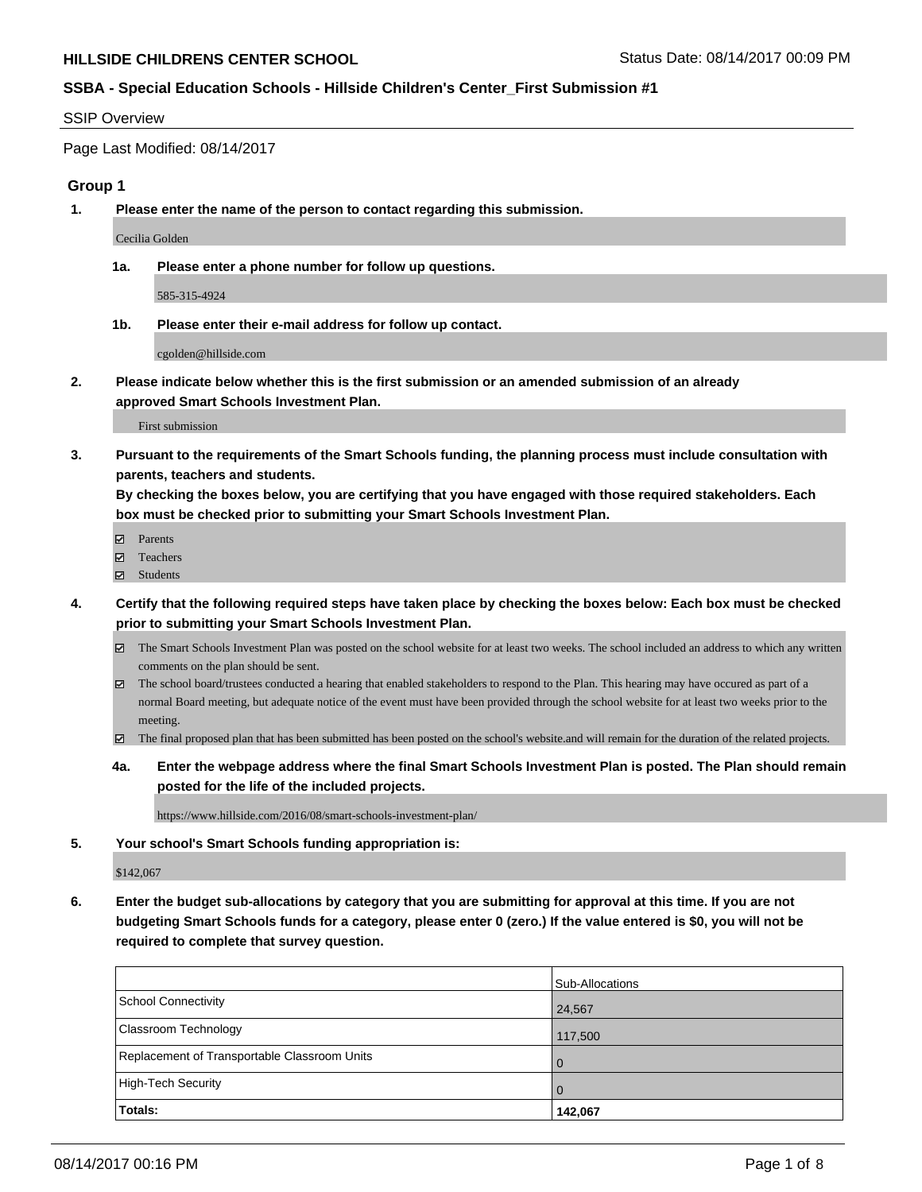#### SSIP Overview

Page Last Modified: 08/14/2017

### **Group 1**

**1. Please enter the name of the person to contact regarding this submission.**

Cecilia Golden

**1a. Please enter a phone number for follow up questions.**

585-315-4924

**1b. Please enter their e-mail address for follow up contact.**

cgolden@hillside.com

**2. Please indicate below whether this is the first submission or an amended submission of an already approved Smart Schools Investment Plan.**

First submission

**3. Pursuant to the requirements of the Smart Schools funding, the planning process must include consultation with parents, teachers and students.**

**By checking the boxes below, you are certifying that you have engaged with those required stakeholders. Each box must be checked prior to submitting your Smart Schools Investment Plan.**

- **Ø** Parents
- Teachers
- Students
- **4. Certify that the following required steps have taken place by checking the boxes below: Each box must be checked prior to submitting your Smart Schools Investment Plan.**
	- The Smart Schools Investment Plan was posted on the school website for at least two weeks. The school included an address to which any written comments on the plan should be sent.
	- The school board/trustees conducted a hearing that enabled stakeholders to respond to the Plan. This hearing may have occured as part of a normal Board meeting, but adequate notice of the event must have been provided through the school website for at least two weeks prior to the meeting.
	- The final proposed plan that has been submitted has been posted on the school's website.and will remain for the duration of the related projects.
	- **4a. Enter the webpage address where the final Smart Schools Investment Plan is posted. The Plan should remain posted for the life of the included projects.**

https://www.hillside.com/2016/08/smart-schools-investment-plan/

**5. Your school's Smart Schools funding appropriation is:**

\$142,067

**6. Enter the budget sub-allocations by category that you are submitting for approval at this time. If you are not budgeting Smart Schools funds for a category, please enter 0 (zero.) If the value entered is \$0, you will not be required to complete that survey question.**

|                                              | Sub-Allocations |
|----------------------------------------------|-----------------|
| School Connectivity                          | 24,567          |
| <b>Classroom Technology</b>                  | 117,500         |
| Replacement of Transportable Classroom Units | $\Omega$        |
| High-Tech Security                           | $\Omega$        |
| Totals:                                      | 142,067         |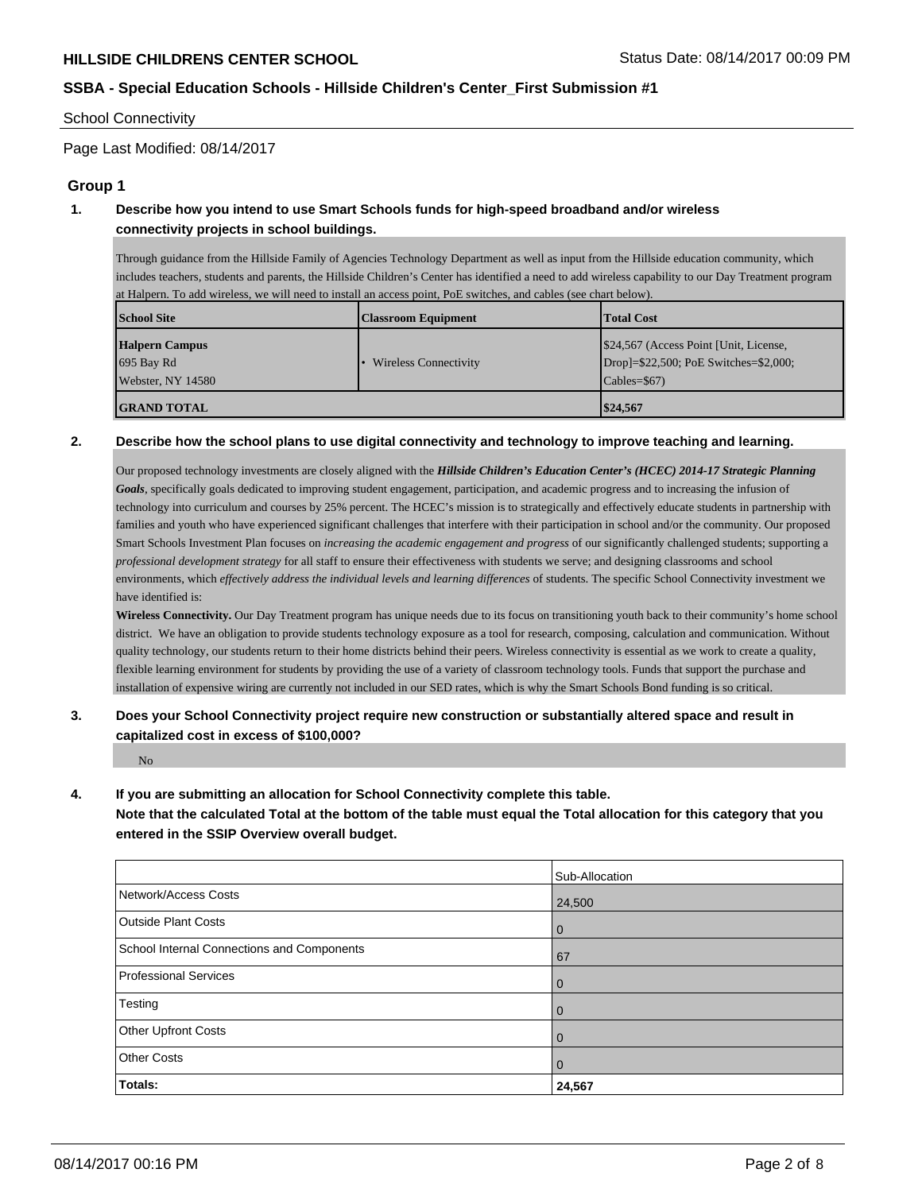#### School Connectivity

Page Last Modified: 08/14/2017

### **Group 1**

# **1. Describe how you intend to use Smart Schools funds for high-speed broadband and/or wireless connectivity projects in school buildings.**

Through guidance from the Hillside Family of Agencies Technology Department as well as input from the Hillside education community, which includes teachers, students and parents, the Hillside Children's Center has identified a need to add wireless capability to our Day Treatment program at Halpern. To add wireless, we will need to install an access point, PoE switches, and cables (see chart below).

| <b>School Site</b>    | <b>Classroom Equipment</b>   | <b>Total Cost</b>                      |
|-----------------------|------------------------------|----------------------------------------|
| <b>Halpern Campus</b> |                              | \$24,567 (Access Point [Unit, License, |
| 695 Bay Rd            | <b>Wireless Connectivity</b> | Drop]=\$22,500; PoE Switches=\$2,000;  |
| Webster, NY $14580$   |                              | $\text{Cables} = $67$                  |
| <b>IGRAND TOTAL</b>   |                              | \$24,567                               |

#### **2. Describe how the school plans to use digital connectivity and technology to improve teaching and learning.**

Our proposed technology investments are closely aligned with the *Hillside Children's Education Center's (HCEC) 2014-17 Strategic Planning Goals*, specifically goals dedicated to improving student engagement, participation, and academic progress and to increasing the infusion of technology into curriculum and courses by 25% percent. The HCEC's mission is to strategically and effectively educate students in partnership with families and youth who have experienced significant challenges that interfere with their participation in school and/or the community. Our proposed Smart Schools Investment Plan focuses on *increasing the academic engagement and progress* of our significantly challenged students; supporting a *professional development strategy* for all staff to ensure their effectiveness with students we serve; and designing classrooms and school environments, which *effectively address the individual levels and learning differences* of students. The specific School Connectivity investment we have identified is:

**Wireless Connectivity.** Our Day Treatment program has unique needs due to its focus on transitioning youth back to their community's home school district. We have an obligation to provide students technology exposure as a tool for research, composing, calculation and communication. Without quality technology, our students return to their home districts behind their peers. Wireless connectivity is essential as we work to create a quality, flexible learning environment for students by providing the use of a variety of classroom technology tools. Funds that support the purchase and installation of expensive wiring are currently not included in our SED rates, which is why the Smart Schools Bond funding is so critical.

## **3. Does your School Connectivity project require new construction or substantially altered space and result in capitalized cost in excess of \$100,000?**

 $N_{\Omega}$ 

### **4. If you are submitting an allocation for School Connectivity complete this table.**

**Note that the calculated Total at the bottom of the table must equal the Total allocation for this category that you entered in the SSIP Overview overall budget.** 

|                                            | Sub-Allocation |
|--------------------------------------------|----------------|
| Network/Access Costs                       | 24,500         |
| <b>Outside Plant Costs</b>                 | $\bf{0}$       |
| School Internal Connections and Components | 67             |
| Professional Services                      | 0              |
| Testing                                    | 0              |
| Other Upfront Costs                        | 0              |
| <b>Other Costs</b>                         | 0              |
| Totals:                                    | 24,567         |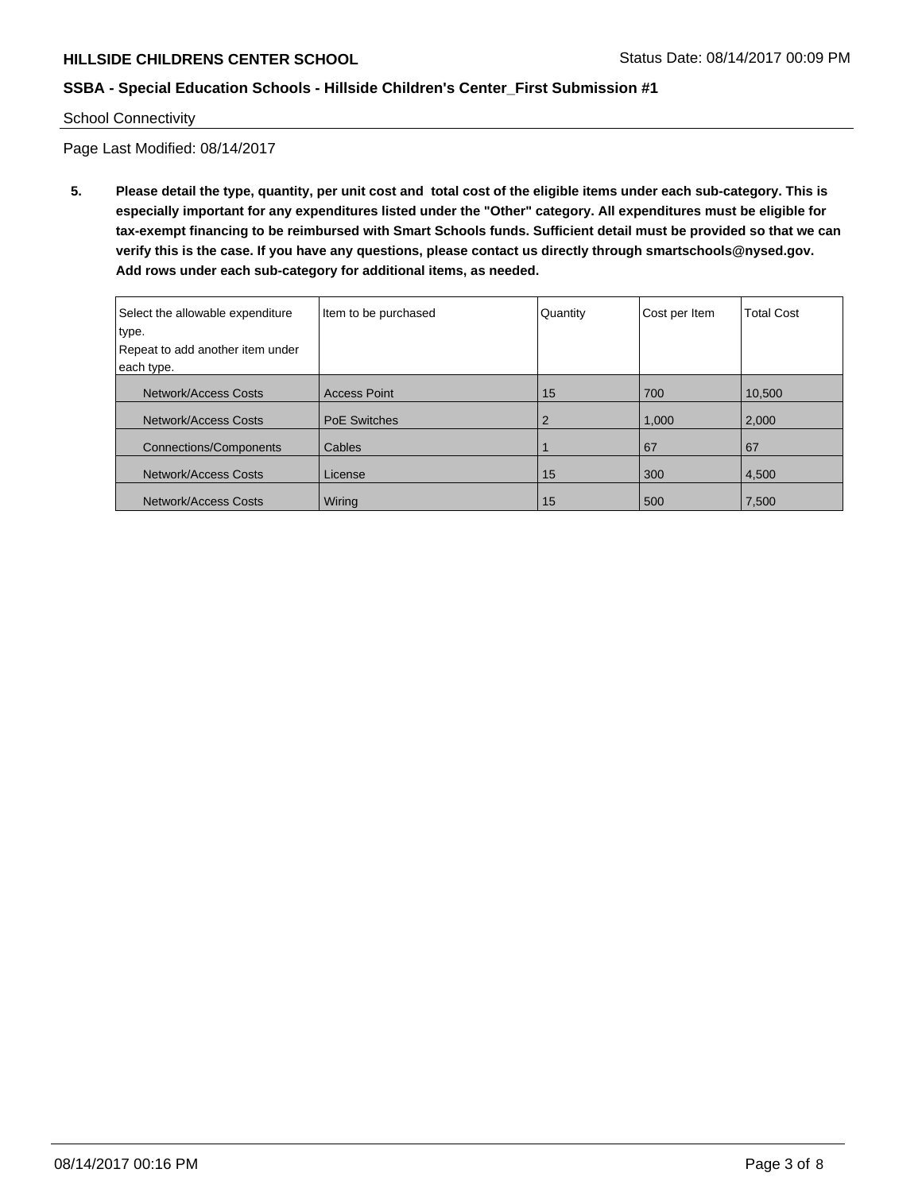School Connectivity

Page Last Modified: 08/14/2017

**5. Please detail the type, quantity, per unit cost and total cost of the eligible items under each sub-category. This is especially important for any expenditures listed under the "Other" category. All expenditures must be eligible for tax-exempt financing to be reimbursed with Smart Schools funds. Sufficient detail must be provided so that we can verify this is the case. If you have any questions, please contact us directly through smartschools@nysed.gov. Add rows under each sub-category for additional items, as needed.**

| Select the allowable expenditure<br>type.<br>Repeat to add another item under<br>each type. | Item to be purchased | Quantity | Cost per Item | <b>Total Cost</b> |
|---------------------------------------------------------------------------------------------|----------------------|----------|---------------|-------------------|
|                                                                                             |                      |          |               |                   |
| Network/Access Costs                                                                        | <b>Access Point</b>  | 15       | 700           | 10,500            |
| Network/Access Costs                                                                        | <b>PoE Switches</b>  |          | 1,000         | 2.000             |
| <b>Connections/Components</b>                                                               | Cables               |          | 67            | 67                |
| Network/Access Costs                                                                        | License              | 15       | 300           | 4,500             |
| Network/Access Costs                                                                        | Wiring               | 15       | 500           | 7,500             |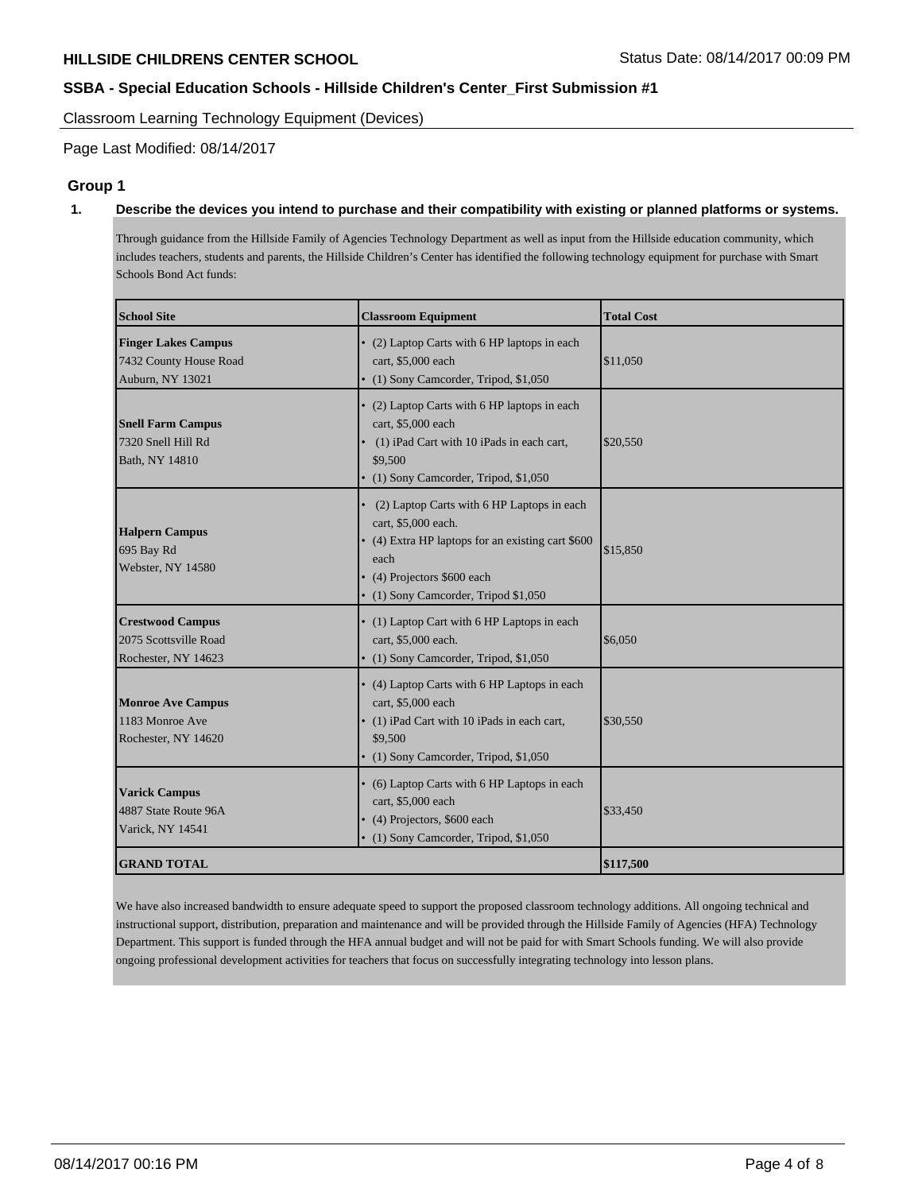Classroom Learning Technology Equipment (Devices)

Page Last Modified: 08/14/2017

## **Group 1**

#### **1. Describe the devices you intend to purchase and their compatibility with existing or planned platforms or systems.**

Through guidance from the Hillside Family of Agencies Technology Department as well as input from the Hillside education community, which includes teachers, students and parents, the Hillside Children's Center has identified the following technology equipment for purchase with Smart Schools Bond Act funds:

| <b>School Site</b>                                                       | <b>Classroom Equipment</b>                                                                                                                                                                            | <b>Total Cost</b> |
|--------------------------------------------------------------------------|-------------------------------------------------------------------------------------------------------------------------------------------------------------------------------------------------------|-------------------|
| <b>Finger Lakes Campus</b><br>7432 County House Road<br>Auburn, NY 13021 | • (2) Laptop Carts with 6 HP laptops in each<br>cart, \$5,000 each<br>• (1) Sony Camcorder, Tripod, \$1,050                                                                                           | \$11,050          |
| <b>Snell Farm Campus</b><br>7320 Snell Hill Rd<br>Bath, NY 14810         | • (2) Laptop Carts with 6 HP laptops in each<br>cart, \$5,000 each<br>(1) iPad Cart with 10 iPads in each cart,<br>\$9,500<br>• (1) Sony Camcorder, Tripod, \$1,050                                   | \$20,550          |
| <b>Halpern Campus</b><br>695 Bay Rd<br>Webster, NY 14580                 | (2) Laptop Carts with 6 HP Laptops in each<br>cart, \$5,000 each.<br>• (4) Extra HP laptops for an existing cart \$600<br>each<br>• (4) Projectors \$600 each<br>• (1) Sony Camcorder, Tripod \$1,050 | \$15,850          |
| <b>Crestwood Campus</b><br>2075 Scottsville Road<br>Rochester, NY 14623  | • (1) Laptop Cart with 6 HP Laptops in each<br>cart, \$5,000 each.<br>• (1) Sony Camcorder, Tripod, \$1,050                                                                                           | \$6,050           |
| <b>Monroe Ave Campus</b><br>1183 Monroe Ave<br>Rochester, NY 14620       | • (4) Laptop Carts with 6 HP Laptops in each<br>cart, \$5,000 each<br>• (1) iPad Cart with 10 iPads in each cart,<br>\$9,500<br>• (1) Sony Camcorder, Tripod, \$1,050                                 | \$30,550          |
| <b>Varick Campus</b><br>4887 State Route 96A<br>Varick, NY 14541         | • (6) Laptop Carts with 6 HP Laptops in each<br>cart, \$5,000 each<br>• (4) Projectors, \$600 each<br>• (1) Sony Camcorder, Tripod, \$1,050                                                           | \$33,450          |
| <b>GRAND TOTAL</b>                                                       |                                                                                                                                                                                                       | \$117,500         |

We have also increased bandwidth to ensure adequate speed to support the proposed classroom technology additions. All ongoing technical and instructional support, distribution, preparation and maintenance and will be provided through the Hillside Family of Agencies (HFA) Technology Department. This support is funded through the HFA annual budget and will not be paid for with Smart Schools funding. We will also provide ongoing professional development activities for teachers that focus on successfully integrating technology into lesson plans.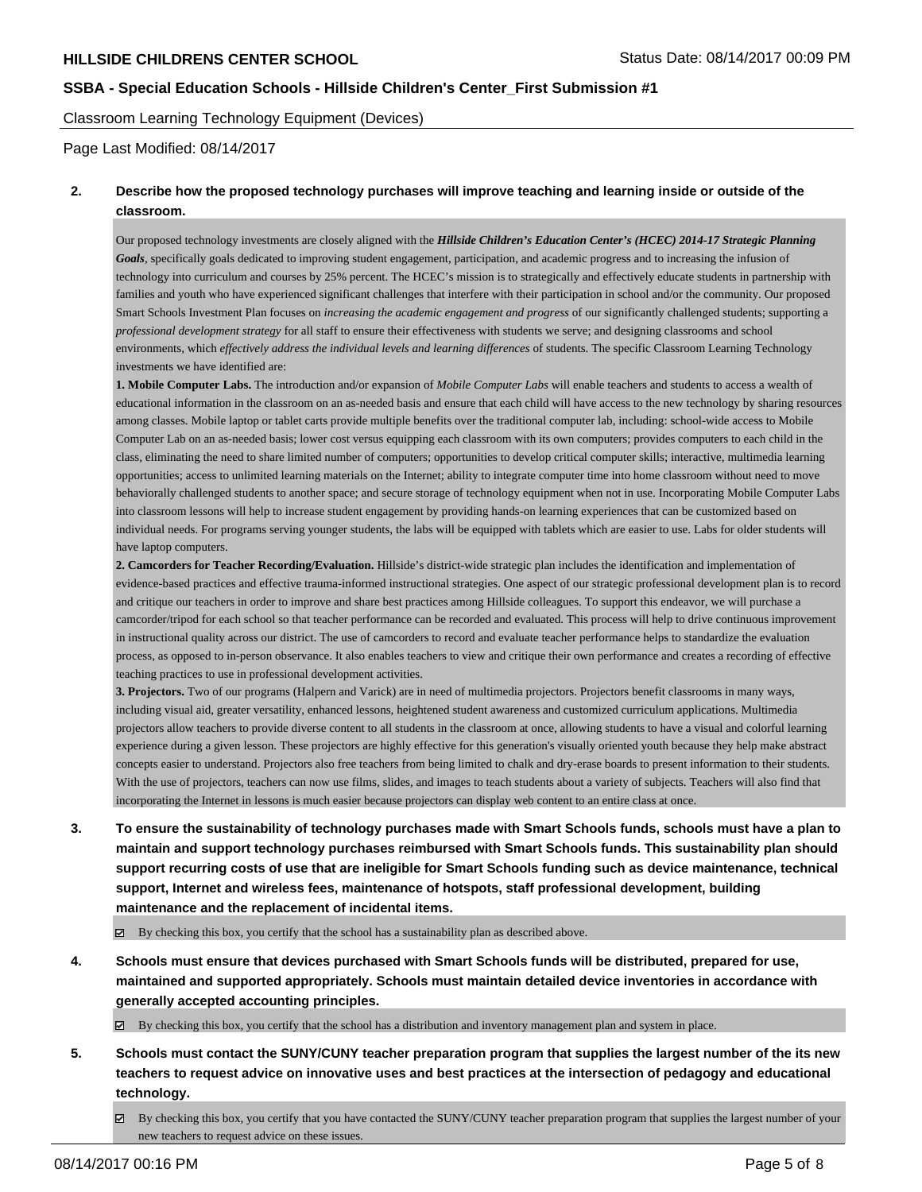Classroom Learning Technology Equipment (Devices)

Page Last Modified: 08/14/2017

### **2. Describe how the proposed technology purchases will improve teaching and learning inside or outside of the classroom.**

Our proposed technology investments are closely aligned with the *Hillside Children's Education Center's (HCEC) 2014-17 Strategic Planning Goals*, specifically goals dedicated to improving student engagement, participation, and academic progress and to increasing the infusion of technology into curriculum and courses by 25% percent. The HCEC's mission is to strategically and effectively educate students in partnership with families and youth who have experienced significant challenges that interfere with their participation in school and/or the community. Our proposed Smart Schools Investment Plan focuses on *increasing the academic engagement and progress* of our significantly challenged students; supporting a *professional development strategy* for all staff to ensure their effectiveness with students we serve; and designing classrooms and school environments, which *effectively address the individual levels and learning differences* of students. The specific Classroom Learning Technology investments we have identified are:

**1. Mobile Computer Labs.** The introduction and/or expansion of *Mobile Computer Labs* will enable teachers and students to access a wealth of educational information in the classroom on an as-needed basis and ensure that each child will have access to the new technology by sharing resources among classes. Mobile laptop or tablet carts provide multiple benefits over the traditional computer lab, including: school-wide access to Mobile Computer Lab on an as-needed basis; lower cost versus equipping each classroom with its own computers; provides computers to each child in the class, eliminating the need to share limited number of computers; opportunities to develop critical computer skills; interactive, multimedia learning opportunities; access to unlimited learning materials on the Internet; ability to integrate computer time into home classroom without need to move behaviorally challenged students to another space; and secure storage of technology equipment when not in use. Incorporating Mobile Computer Labs into classroom lessons will help to increase student engagement by providing hands-on learning experiences that can be customized based on individual needs. For programs serving younger students, the labs will be equipped with tablets which are easier to use. Labs for older students will have laptop computers.

**2. Camcorders for Teacher Recording/Evaluation.** Hillside's district-wide strategic plan includes the identification and implementation of evidence-based practices and effective trauma-informed instructional strategies. One aspect of our strategic professional development plan is to record and critique our teachers in order to improve and share best practices among Hillside colleagues. To support this endeavor, we will purchase a camcorder/tripod for each school so that teacher performance can be recorded and evaluated. This process will help to drive continuous improvement in instructional quality across our district. The use of camcorders to record and evaluate teacher performance helps to standardize the evaluation process, as opposed to in-person observance. It also enables teachers to view and critique their own performance and creates a recording of effective teaching practices to use in professional development activities.

**3. Projectors.** Two of our programs (Halpern and Varick) are in need of multimedia projectors. Projectors benefit classrooms in many ways, including visual aid, greater versatility, enhanced lessons, heightened student awareness and customized curriculum applications. Multimedia projectors allow teachers to provide diverse content to all students in the classroom at once, allowing students to have a visual and colorful learning experience during a given lesson. These projectors are highly effective for this generation's visually oriented youth because they help make abstract concepts easier to understand. Projectors also free teachers from being limited to chalk and dry-erase boards to present information to their students. With the use of projectors, teachers can now use films, slides, and images to teach students about a variety of subjects. Teachers will also find that incorporating the Internet in lessons is much easier because projectors can display web content to an entire class at once.

**3. To ensure the sustainability of technology purchases made with Smart Schools funds, schools must have a plan to maintain and support technology purchases reimbursed with Smart Schools funds. This sustainability plan should support recurring costs of use that are ineligible for Smart Schools funding such as device maintenance, technical support, Internet and wireless fees, maintenance of hotspots, staff professional development, building maintenance and the replacement of incidental items.**

By checking this box, you certify that the school has a sustainability plan as described above.

**4. Schools must ensure that devices purchased with Smart Schools funds will be distributed, prepared for use, maintained and supported appropriately. Schools must maintain detailed device inventories in accordance with generally accepted accounting principles.**

By checking this box, you certify that the school has a distribution and inventory management plan and system in place.

- **5. Schools must contact the SUNY/CUNY teacher preparation program that supplies the largest number of the its new teachers to request advice on innovative uses and best practices at the intersection of pedagogy and educational technology.**
	- By checking this box, you certify that you have contacted the SUNY/CUNY teacher preparation program that supplies the largest number of your new teachers to request advice on these issues.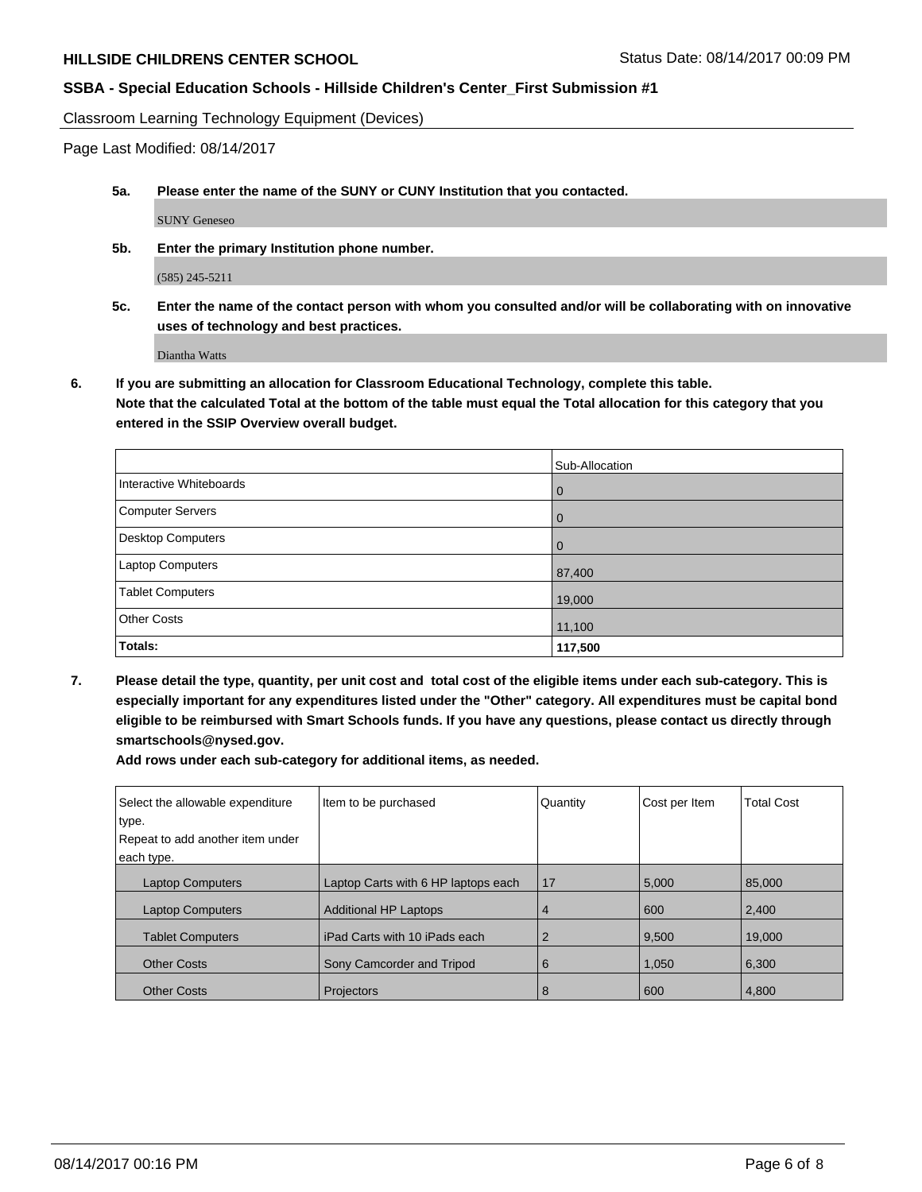Classroom Learning Technology Equipment (Devices)

Page Last Modified: 08/14/2017

**5a. Please enter the name of the SUNY or CUNY Institution that you contacted.**

SUNY Geneseo

**5b. Enter the primary Institution phone number.**

(585) 245-5211

**5c. Enter the name of the contact person with whom you consulted and/or will be collaborating with on innovative uses of technology and best practices.**

Diantha Watts

**6. If you are submitting an allocation for Classroom Educational Technology, complete this table. Note that the calculated Total at the bottom of the table must equal the Total allocation for this category that you entered in the SSIP Overview overall budget.**

|                          | Sub-Allocation |
|--------------------------|----------------|
| Interactive Whiteboards  | l O            |
| Computer Servers         | l 0            |
| <b>Desktop Computers</b> | $\overline{0}$ |
| Laptop Computers         | 87,400         |
| <b>Tablet Computers</b>  | 19,000         |
| <b>Other Costs</b>       | 11,100         |
| Totals:                  | 117,500        |

**7. Please detail the type, quantity, per unit cost and total cost of the eligible items under each sub-category. This is especially important for any expenditures listed under the "Other" category. All expenditures must be capital bond eligible to be reimbursed with Smart Schools funds. If you have any questions, please contact us directly through smartschools@nysed.gov.**

**Add rows under each sub-category for additional items, as needed.**

| Select the allowable expenditure | Item to be purchased                | Quantity | Cost per Item | <b>Total Cost</b> |
|----------------------------------|-------------------------------------|----------|---------------|-------------------|
| type.                            |                                     |          |               |                   |
| Repeat to add another item under |                                     |          |               |                   |
| each type.                       |                                     |          |               |                   |
| <b>Laptop Computers</b>          | Laptop Carts with 6 HP laptops each | 17       | 5,000         | 85,000            |
| <b>Laptop Computers</b>          | <b>Additional HP Laptops</b>        | 4        | 600           | 2,400             |
| <b>Tablet Computers</b>          | iPad Carts with 10 iPads each       | 2        | 9,500         | 19.000            |
| <b>Other Costs</b>               | Sony Camcorder and Tripod           | 6        | 1,050         | 6,300             |
| <b>Other Costs</b>               | Projectors                          | 8        | 600           | 4,800             |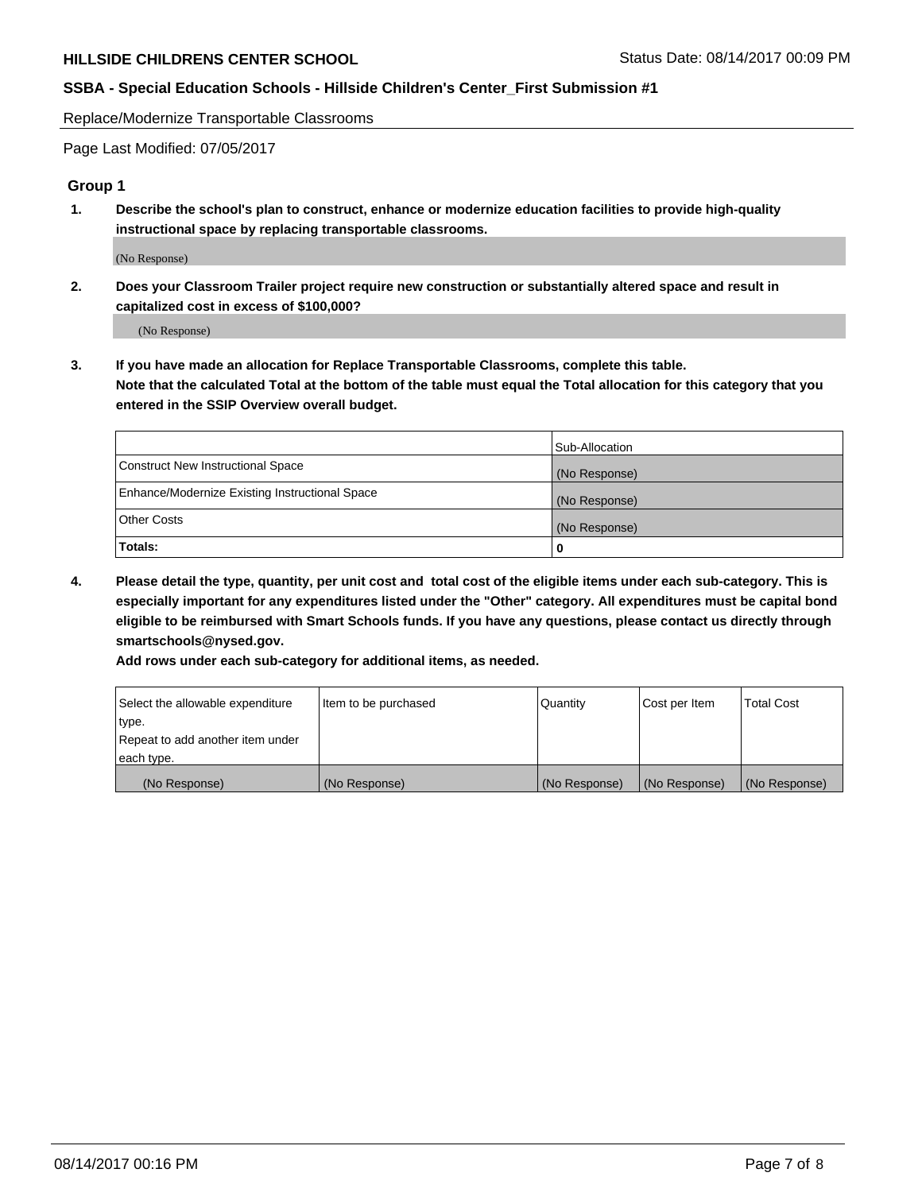Replace/Modernize Transportable Classrooms

Page Last Modified: 07/05/2017

### **Group 1**

**1. Describe the school's plan to construct, enhance or modernize education facilities to provide high-quality instructional space by replacing transportable classrooms.**

(No Response)

**2. Does your Classroom Trailer project require new construction or substantially altered space and result in capitalized cost in excess of \$100,000?**

(No Response)

**3. If you have made an allocation for Replace Transportable Classrooms, complete this table. Note that the calculated Total at the bottom of the table must equal the Total allocation for this category that you entered in the SSIP Overview overall budget.**

|                                                | Sub-Allocation |
|------------------------------------------------|----------------|
| Construct New Instructional Space              | (No Response)  |
| Enhance/Modernize Existing Instructional Space | (No Response)  |
| <b>Other Costs</b>                             | (No Response)  |
| Totals:                                        |                |

**4. Please detail the type, quantity, per unit cost and total cost of the eligible items under each sub-category. This is especially important for any expenditures listed under the "Other" category. All expenditures must be capital bond eligible to be reimbursed with Smart Schools funds. If you have any questions, please contact us directly through smartschools@nysed.gov.**

**Add rows under each sub-category for additional items, as needed.**

| Select the allowable expenditure | Item to be purchased | Quantity      | Cost per Item | <b>Total Cost</b> |
|----------------------------------|----------------------|---------------|---------------|-------------------|
| type.                            |                      |               |               |                   |
| Repeat to add another item under |                      |               |               |                   |
| each type.                       |                      |               |               |                   |
| (No Response)                    | (No Response)        | (No Response) | (No Response) | (No Response)     |